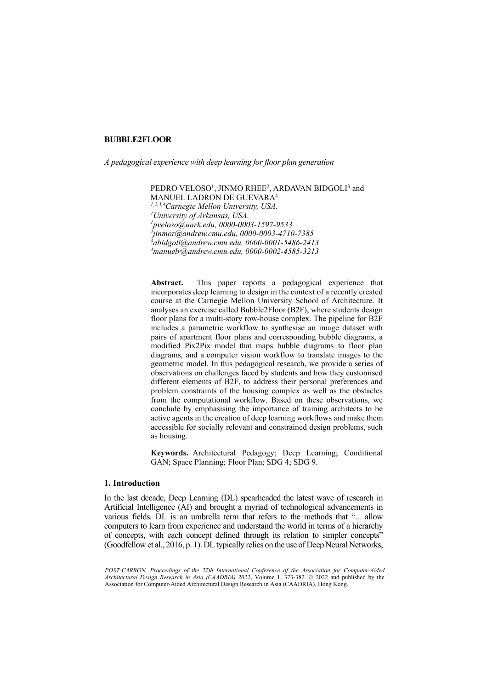## **BUBBLE2FLOOR**

*A pedagogical experience with deep learning for floor plan generation*

PEDRO VELOSO<sup>1</sup>, JINMO RHEE<sup>2</sup>, ARDAVAN BIDGOLI<sup>3</sup> and MANUEL LADRON DE GUEVARA4

*1,2,3,4Carnegie Mellon University, USA. University of Arkansas, USA. [pveloso@uark.edu,](mailto:1pveloso@uark.edu) 0000-0003-1597-9533 2 jinmor@andrew.cmu.edu, 0000-0003-4710-7385 3 abidgoli@andrew.cmu.edu, 0000-0001-5486-2413 manuelr@andrew.cmu.edu, 0000-0002-4585-3213*

**Abstract.** This paper reports a pedagogical experience that incorporates deep learning to design in the context of a recently created course at the Carnegie Mellon University School of Architecture. It analyses an exercise called Bubble2Floor (B2F), where students design floor plans for a multi-story row-house complex. The pipeline for B2F includes a parametric workflow to synthesise an image dataset with pairs of apartment floor plans and corresponding bubble diagrams, a modified Pix2Pix model that maps bubble diagrams to floor plan diagrams, and a computer vision workflow to translate images to the geometric model. In this pedagogical research, we provide a series of observations on challenges faced by students and how they customised different elements of B2F, to address their personal preferences and problem constraints of the housing complex as well as the obstacles from the computational workflow. Based on these observations, we conclude by emphasising the importance of training architects to be active agents in the creation of deep learning workflows and make them accessible for socially relevant and constrained design problems, such as housing.

**Keywords.** Architectural Pedagogy; Deep Learning; Conditional GAN; Space Planning; Floor Plan; SDG 4; SDG 9.

## **1. Introduction**

In the last decade, Deep Learning (DL) spearheaded the latest wave of research in Artificial Intelligence (AI) and brought a myriad of technological advancements in various fields. DL is an umbrella term that refers to the methods that "... allow computers to learn from experience and understand the world in terms of a hierarchy of concepts, with each concept defined through its relation to simpler concepts" (Goodfellow et al., 2016, p. 1). DL typically relies on the use of Deep Neural Networks,

*POST-CARBON, Proceedings of the 27th International Conference of the Association for Computer-Aided Architectural Design Research in Asia (CAADRIA) 2022*, Volume 1, 373-382. © 2022 and published by the Association for Computer-Aided Architectural Design Research in Asia (CAADRIA), Hong Kong.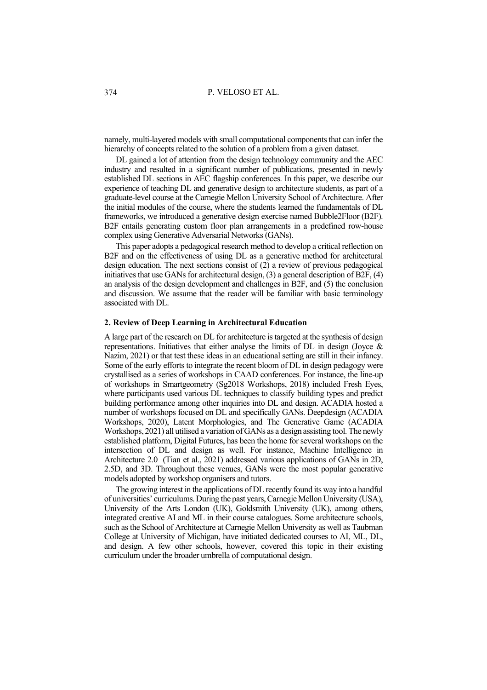namely, multi-layered models with small computational components that can infer the hierarchy of concepts related to the solution of a problem from a given dataset.

DL gained a lot of attention from the design technology community and the AEC industry and resulted in a significant number of publications, presented in newly established DL sections in AEC flagship conferences. In this paper, we describe our experience of teaching DL and generative design to architecture students, as part of a graduate-level course at the Carnegie Mellon University School of Architecture. After the initial modules of the course, where the students learned the fundamentals of DL frameworks, we introduced a generative design exercise named Bubble2Floor (B2F). B2F entails generating custom floor plan arrangements in a predefined row-house complex using Generative Adversarial Networks (GANs).

This paper adopts a pedagogical research method to develop a critical reflection on B<sub>2F</sub> and on the effectiveness of using DL as a generative method for architectural design education. The next sections consist of  $(2)$  a review of previous pedagogical initiatives that use GANs for architectural design, (3) a general description of B2F, (4) an analysis of the design development and challenges in B2F, and (5) the conclusion and discussion. We assume that the reader will be familiar with basic terminology associated with DL.

## **2. Review of Deep Learning in Architectural Education**

A large part of the research on DL for architecture is targeted at the synthesis of design representations. Initiatives that either analyse the limits of DL in design (Joyce & Nazim, 2021) or that test these ideas in an educational setting are still in their infancy. Some of the early efforts to integrate the recent bloom of DL in design pedagogy were crystallised as a series of workshops in CAAD conferences. For instance, the line-up of workshops in Smartgeometry (Sg2018 Workshops, 2018) included Fresh Eyes, where participants used various DL techniques to classify building types and predict building performance among other inquiries into DL and design. ACADIA hosted a number of workshops focused on DL and specifically GANs. Deepdesign (ACADIA Workshops, 2020), Latent Morphologies, and The Generative Game (ACADIA Workshops, 2021) all utilised a variation of GANs as a design assisting tool. The newly established platform, Digital Futures, has been the home for several workshops on the intersection of DL and design as well. For instance, Machine Intelligence in Architecture 2.0 (Tian et al., 2021) addressed various applications of GANs in 2D, 2.5D, and 3D. Throughout these venues, GANs were the most popular generative models adopted by workshop organisers and tutors.

The growing interest in the applications of DL recently found its way into a handful of universities' curriculums. During the past years, Carnegie Mellon University (USA), University of the Arts London (UK), Goldsmith University (UK), among others, integrated creative AI and ML in their course catalogues. Some architecture schools, such as the School of Architecture at Carnegie Mellon University as well as Taubman College at University of Michigan, have initiated dedicated courses to AI, ML, DL, and design. A few other schools, however, covered this topic in their existing curriculum under the broader umbrella of computational design.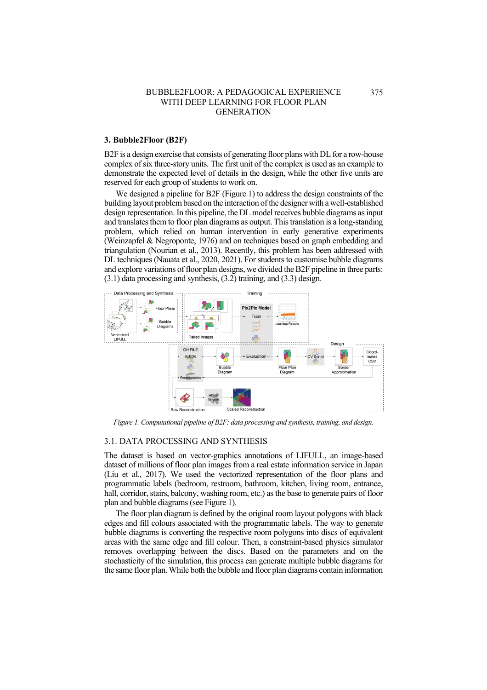## **3. Bubble2Floor (B2F)**

B2F is a design exercise that consists of generating floor plans with DL for a row-house complex of six three-story units. The first unit of the complex is used as an example to demonstrate the expected level of details in the design, while the other five units are reserved for each group of students to work on.

We designed a pipeline for B2F (Figure 1) to address the design constraints of the building layout problem based on the interaction of the designer with a well-established design representation. In this pipeline, the DL model receives bubble diagrams as input and translates them to floor plan diagrams as output. This translation is a long-standing problem, which relied on human intervention in early generative experiments (Weinzapfel & Negroponte, 1976) and on techniques based on graph embedding and triangulation (Nourian et al., 2013). Recently, this problem has been addressed with DL techniques (Nauata et al., 2020, 2021). For students to customise bubble diagrams and explore variations of floor plan designs, we divided the B2F pipeline in three parts: (3.1) data processing and synthesis, (3.2) training, and (3.3) design.



*Figure 1. Computational pipeline of B2F: data processing and synthesis, training, and design.*

#### 3.1. DATA PROCESSING AND SYNTHESIS

The dataset is based on vector-graphics annotations of LIFULL, an image-based dataset of millions of floor plan images from a real estate information service in Japan (Liu et al., 2017). We used the vectorized representation of the floor plans and programmatic labels (bedroom, restroom, bathroom, kitchen, living room, entrance, hall, corridor, stairs, balcony, washing room, etc.) as the base to generate pairs of floor plan and bubble diagrams (see Figure 1).

The floor plan diagram is defined by the original room layout polygons with black edges and fill colours associated with the programmatic labels. The way to generate bubble diagrams is converting the respective room polygons into discs of equivalent areas with the same edge and fill colour. Then, a constraint-based physics simulator removes overlapping between the discs. Based on the parameters and on the stochasticity of the simulation, this process can generate multiple bubble diagrams for the same floor plan.While both the bubble and floor plan diagrams contain information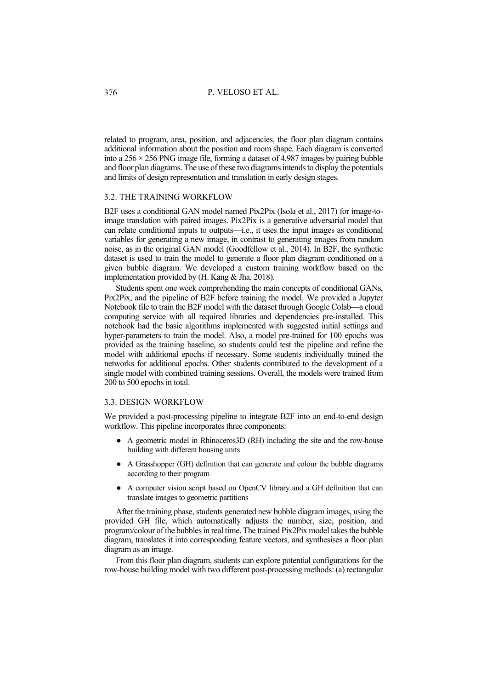related to program, area, position, and adjacencies, the floor plan diagram contains additional information about the position and room shape. Each diagram is converted into a  $256 \times 256$  PNG image file, forming a dataset of 4,987 images by pairing bubble and floor plan diagrams. The use of these two diagramsintends to display the potentials and limits of design representation and translation in early design stages.

# 3.2. THE TRAINING WORKFLOW

B2F uses a conditional GAN model named Pix2Pix (Isola et al., 2017) for image-toimage translation with paired images. Pix2Pix is a generative adversarial model that can relate conditional inputs to outputs—i.e., it uses the input images as conditional variables for generating a new image, in contrast to generating images from random noise, as in the original GAN model (Goodfellow et al., 2014). In B2F, the synthetic dataset is used to train the model to generate a floor plan diagram conditioned on a given bubble diagram. We developed a custom training workflow based on the implementation provided by (H. Kang & Jha, 2018).

Students spent one week comprehending the main concepts of conditional GANs, Pix2Pix, and the pipeline of B2F before training the model. We provided a Jupyter Notebook file to train the B2F model with the dataset through Google Colab—a cloud computing service with all required libraries and dependencies pre-installed. This notebook had the basic algorithms implemented with suggested initial settings and hyper-parameters to train the model. Also, a model pre-trained for 100 epochs was provided as the training baseline, so students could test the pipeline and refine the model with additional epochs if necessary. Some students individually trained the networks for additional epochs. Other students contributed to the development of a single model with combined training sessions. Overall, the models were trained from 200 to 500 epochs in total.

#### 3.3. DESIGN WORKFLOW

We provided a post-processing pipeline to integrate B2F into an end-to-end design workflow. This pipeline incorporates three components:

- A geometric model in Rhinoceros3D (RH) including the site and the row-house building with different housing units
- A Grasshopper (GH) definition that can generate and colour the bubble diagrams according to their program
- A computer vision script based on OpenCV library and a GH definition that can translate images to geometric partitions

After the training phase, students generated new bubble diagram images, using the provided GH file, which automatically adjusts the number, size, position, and program/colour of the bubbles in real time. The trained Pix2Pix model takes the bubble diagram, translates it into corresponding feature vectors, and synthesises a floor plan diagram as an image.

From this floor plan diagram, students can explore potential configurations for the row-house building model with two different post-processing methods: (a) rectangular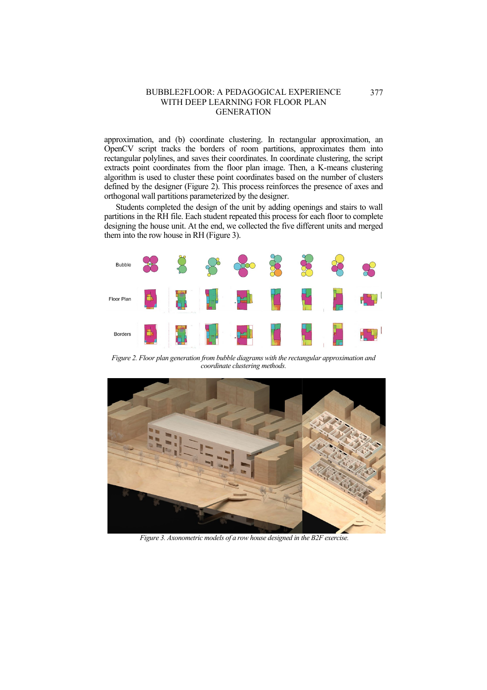approximation, and (b) coordinate clustering. In rectangular approximation, an OpenCV script tracks the borders of room partitions, approximates them into rectangular polylines, and saves their coordinates. In coordinate clustering, the script extracts point coordinates from the floor plan image. Then, a K-means clustering algorithm is used to cluster these point coordinates based on the number of clusters defined by the designer (Figure 2). This process reinforces the presence of axes and orthogonal wall partitions parameterized by the designer.

Students completed the design of the unit by adding openings and stairs to wall partitions in the RH file. Each student repeated this process for each floor to complete designing the house unit. At the end, we collected the five different units and merged them into the row house in RH (Figure 3).



*Figure 2. Floor plan generation from bubble diagrams with the rectangular approximation and coordinate clustering methods.*



*Figure 3. Axonometric models of a row house designed in the B2F exercise.*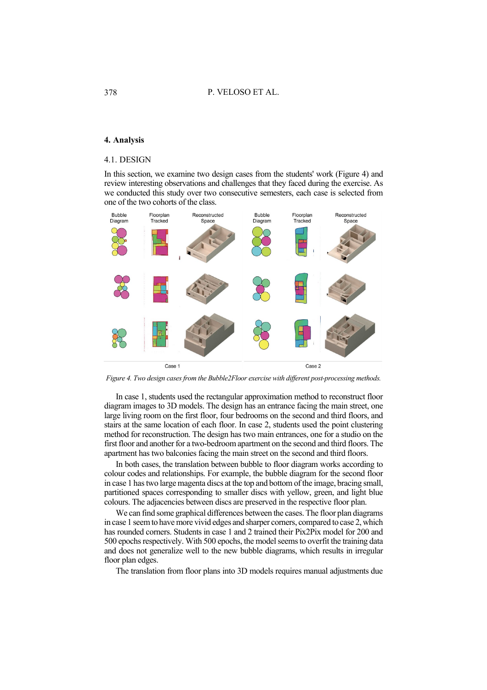## **4. Analysis**

#### 4.1. DESIGN

In this section, we examine two design cases from the students' work (Figure 4) and review interesting observations and challenges that they faced during the exercise. As we conducted this study over two consecutive semesters, each case is selected from one of the two cohorts of the class.



*Figure 4. Two design cases from the Bubble2Floor exercise with different post-processing methods.* 

In case 1, students used the rectangular approximation method to reconstruct floor diagram images to 3D models. The design has an entrance facing the main street, one large living room on the first floor, four bedrooms on the second and third floors, and stairs at the same location of each floor. In case 2, students used the point clustering method for reconstruction. The design has two main entrances, one for a studio on the first floor and another for a two-bedroom apartment on the second and third floors. The apartment has two balconies facing the main street on the second and third floors.

In both cases, the translation between bubble to floor diagram works according to colour codes and relationships. For example, the bubble diagram for the second floor in case 1 has two large magenta discs at the top and bottom of the image, bracing small, partitioned spaces corresponding to smaller discs with yellow, green, and light blue colours. The adjacencies between discs are preserved in the respective floor plan.

We can find some graphical differences between the cases. The floor plan diagrams in case 1 seem to have more vivid edges and sharper corners, compared to case 2, which has rounded corners. Students in case 1 and 2 trained their Pix2Pix model for 200 and 500 epochs respectively. With 500 epochs, the model seems to overfit the training data and does not generalize well to the new bubble diagrams, which results in irregular floor plan edges.

The translation from floor plans into 3D models requires manual adjustments due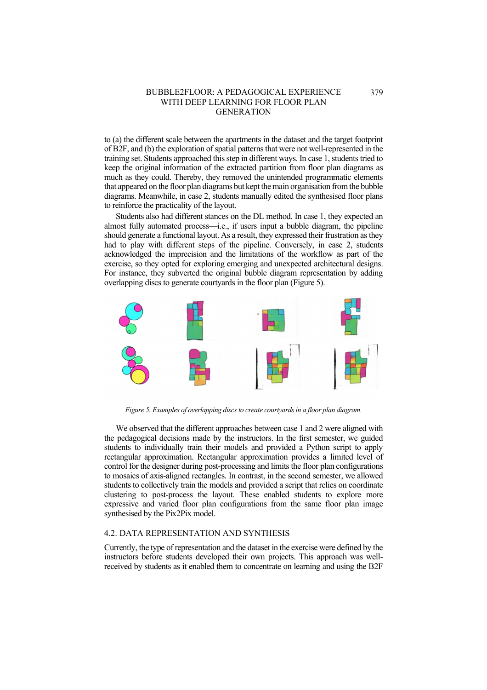to (a) the different scale between the apartments in the dataset and the target footprint of B2F, and (b) the exploration of spatial patterns that were not well-represented in the training set. Students approached this step in different ways. In case 1, students tried to keep the original information of the extracted partition from floor plan diagrams as much as they could. Thereby, they removed the unintended programmatic elements that appeared on the floor plan diagrams but kept the main organisation from the bubble diagrams. Meanwhile, in case 2, students manually edited the synthesised floor plans to reinforce the practicality of the layout.

Students also had different stances on the DL method. In case 1, they expected an almost fully automated process—i.e., if users input a bubble diagram, the pipeline should generate a functional layout. As a result, they expressed their frustration as they had to play with different steps of the pipeline. Conversely, in case 2, students acknowledged the imprecision and the limitations of the workflow as part of the exercise, so they opted for exploring emerging and unexpected architectural designs. For instance, they subverted the original bubble diagram representation by adding overlapping discs to generate courtyards in the floor plan (Figure 5).



*Figure 5. Examples of overlapping discs to create courtyards in a floor plan diagram.*

We observed that the different approaches between case 1 and 2 were aligned with the pedagogical decisions made by the instructors. In the first semester, we guided students to individually train their models and provided a Python script to apply rectangular approximation. Rectangular approximation provides a limited level of control for the designer during post-processing and limits the floor plan configurations to mosaics of axis-aligned rectangles. In contrast, in the second semester, we allowed students to collectively train the models and provided a script that relies on coordinate clustering to post-process the layout. These enabled students to explore more expressive and varied floor plan configurations from the same floor plan image synthesised by the Pix2Pix model.

## 4.2. DATA REPRESENTATION AND SYNTHESIS

Currently, the type of representation and the dataset in the exercise were defined by the instructors before students developed their own projects. This approach was wellreceived by students as it enabled them to concentrate on learning and using the B2F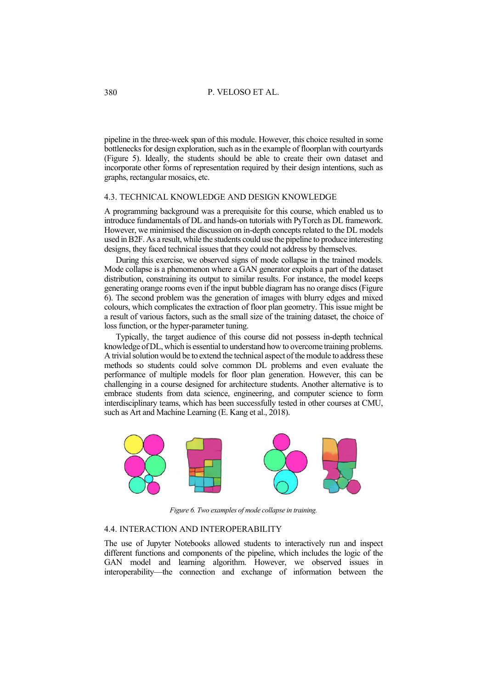pipeline in the three-week span of this module. However, this choice resulted in some bottlenecks for design exploration, such as in the example of floorplan with courtyards (Figure 5). Ideally, the students should be able to create their own dataset and incorporate other forms of representation required by their design intentions, such as graphs, rectangular mosaics, etc.

### 4.3. TECHNICAL KNOWLEDGE AND DESIGN KNOWLEDGE

A programming background was a prerequisite for this course, which enabled us to introduce fundamentals of DL and hands-on tutorials with PyTorch as DL framework. However, we minimised the discussion on in-depth concepts related to the DL models used in B2F. As a result, while the students could use the pipeline to produce interesting designs, they faced technical issues that they could not address by themselves.

During this exercise, we observed signs of mode collapse in the trained models. Mode collapse is a phenomenon where a GAN generator exploits a part of the dataset distribution, constraining its output to similar results. For instance, the model keeps generating orange rooms even if the input bubble diagram has no orange discs (Figure 6). The second problem was the generation of images with blurry edges and mixed colours, which complicates the extraction of floor plan geometry. This issue might be a result of various factors, such as the small size of the training dataset, the choice of loss function, or the hyper-parameter tuning.

Typically, the target audience of this course did not possess in-depth technical knowledge ofDL, which is essential to understand how to overcome training problems. A trivial solution would be to extend the technical aspect of the module to address these methods so students could solve common DL problems and even evaluate the performance of multiple models for floor plan generation. However, this can be challenging in a course designed for architecture students. Another alternative is to embrace students from data science, engineering, and computer science to form interdisciplinary teams, which has been successfully tested in other courses at CMU, such as Art and Machine Learning (E. Kang et al., 2018).



*Figure 6. Two examples of mode collapse in training.* 

## 4.4. INTERACTION AND INTEROPERABILITY

The use of Jupyter Notebooks allowed students to interactively run and inspect different functions and components of the pipeline, which includes the logic of the GAN model and learning algorithm. However, we observed issues in interoperability—the connection and exchange of information between the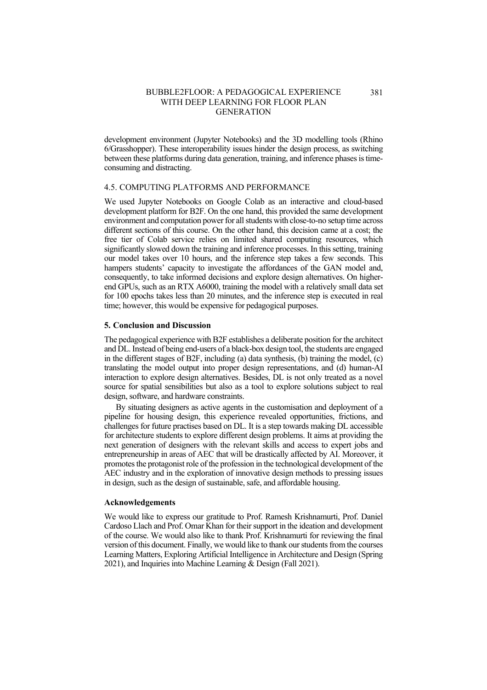development environment (Jupyter Notebooks) and the 3D modelling tools (Rhino 6/Grasshopper). These interoperability issues hinder the design process, as switching between these platforms during data generation, training, and inference phases is timeconsuming and distracting.

## 4.5. COMPUTING PLATFORMS AND PERFORMANCE

We used Jupyter Notebooks on Google Colab as an interactive and cloud-based development platform for B2F. On the one hand, this provided the same development environment and computation power for all students with close-to-no setup time across different sections of this course. On the other hand, this decision came at a cost; the free tier of Colab service relies on limited shared computing resources, which significantly slowed down the training and inference processes. In this setting, training our model takes over 10 hours, and the inference step takes a few seconds. This hampers students' capacity to investigate the affordances of the GAN model and, consequently, to take informed decisions and explore design alternatives. On higherend GPUs, such as an RTX A6000, training the model with a relatively small data set for 100 epochs takes less than 20 minutes, and the inference step is executed in real time; however, this would be expensive for pedagogical purposes.

#### **5. Conclusion and Discussion**

The pedagogical experience with B2F establishes a deliberate position for the architect and DL. Instead of being end-users of a black-box design tool, the students are engaged in the different stages of B2F, including (a) data synthesis, (b) training the model, (c) translating the model output into proper design representations, and (d) human-AI interaction to explore design alternatives. Besides, DL is not only treated as a novel source for spatial sensibilities but also as a tool to explore solutions subject to real design, software, and hardware constraints.

By situating designers as active agents in the customisation and deployment of a pipeline for housing design, this experience revealed opportunities, frictions, and challenges for future practises based on DL. It is a step towards making DL accessible for architecture students to explore different design problems. It aims at providing the next generation of designers with the relevant skills and access to expert jobs and entrepreneurship in areas of AEC that will be drastically affected by AI. Moreover, it promotes the protagonist role of the profession in the technological development of the AEC industry and in the exploration of innovative design methods to pressing issues in design, such as the design of sustainable, safe, and affordable housing.

### **Acknowledgements**

We would like to express our gratitude to Prof. Ramesh Krishnamurti, Prof. Daniel Cardoso Llach and Prof. Omar Khan for their support in the ideation and development of the course. We would also like to thank Prof. Krishnamurti for reviewing the final version of this document. Finally, we would like to thank our students from the courses Learning Matters, Exploring Artificial Intelligence in Architecture and Design (Spring 2021), and Inquiries into Machine Learning & Design (Fall 2021).